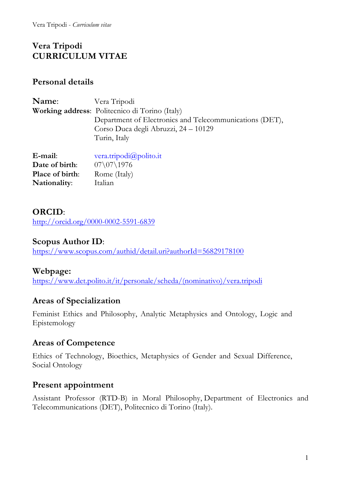Vera Tripodi - *Curriculum vitae*

# **Vera Tripodi CURRICULUM VITAE**

## **Personal details**

| Name:                  | Vera Tripodi                                            |
|------------------------|---------------------------------------------------------|
|                        | <b>Working address:</b> Politecnico di Torino (Italy)   |
|                        | Department of Electronics and Telecommunications (DET), |
|                        | Corso Duca degli Abruzzi, 24 – 10129                    |
|                        | Turin, Italy                                            |
|                        |                                                         |
| E-mail:                | vera.tripodi $\omega$ polito.it                         |
| Date of birth:         | $07\1976$                                               |
| <b>Place of birth:</b> | Rome (Italy)                                            |
| Nationality:           | Italian                                                 |
|                        |                                                         |

## **ORCID**:

http://orcid.org/0000-0002-5591-6839

## **Scopus Author ID**:

https://www.scopus.com/authid/detail.uri?authorId=56829178100

## **Webpage:**

https://www.det.polito.it/it/personale/scheda/(nominativo)/vera.tripodi

# **Areas of Specialization**

Feminist Ethics and Philosophy, Analytic Metaphysics and Ontology, Logic and Epistemology

## **Areas of Competence**

Ethics of Technology, Bioethics, Metaphysics of Gender and Sexual Difference, Social Ontology

## **Present appointment**

Assistant Professor (RTD-B) in Moral Philosophy, Department of Electronics and Telecommunications (DET), Politecnico di Torino (Italy).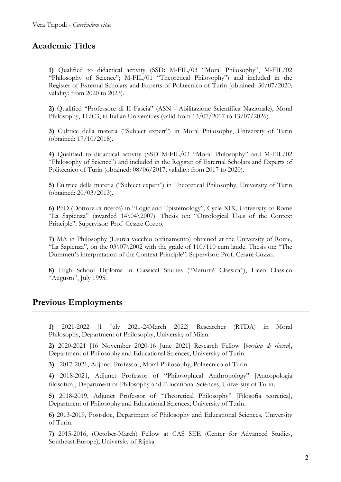## **Academic Titles**

**1)** Qualified to didactical activity (SSD: M-FIL/03 "Moral Philosophy", M-FIL/02 "Philosophy of Science"; M-FIL/01 "Theoretical Philosophy") and included in the Register of External Scholars and Experts of Politecnico of Turin (obtained: 30/07/2020; validity: from 2020 to 2023).

**2)** Qualified "Professore di II Fascia" (ASN - Abilitazione Scientifica Nazionale), Moral Philosophy, 11/C3, in Italian Universities (valid from 13/07/2017 to 13/07/2026).

**3)** Cultrice della materia ("Subject expert") in Moral Philosophy, University of Turin (obtained: 17/10/2018).

**4)** Qualified to didactical activity (SSD M-FIL/03 "Moral Philosophy" and M-FIL/02 "Philosophy of Science") and included in the Register of External Scholars and Experts of Politecnico of Turin (obtained: 08/06/2017; validity: from 2017 to 2020).

**5)** Cultrice della materia ("Subject expert") in Theoretical Philosophy, University of Turin (obtained: 20/03/2013).

**6)** PhD (Dottore di ricerca) in "Logic and Epistemology", Cycle XIX, University of Rome "La Sapienza" (awarded 14\04\2007). Thesis on: "Ontological Uses of the Context Principle". Supervisor: Prof. Cesare Cozzo.

**7)** MA in Philosophy (Laurea vecchio ordinamento) obtained at the University of Rome, "La Sapienza", on the  $03\07\2002$  with the grade of  $110/110$  cum laude. Thesis on: "The Dummett's interpretation of the Context Principle". Supervisor: Prof. Cesare Cozzo.

**8)** High School Diploma in Classical Studies ("Maturità Classica"), Liceo Classico "Augusto", July 1995.

## **Previous Employments**

**1)** 2021-2022 [1 July 2021-24March 2022] Researcher (RTDA) in Moral Philosophy, Department of Philosophy, University of Milan.

**2)** 2020-2021 [16 November 2020-16 June 2021] Research Fellow [*borsista di ricerca*], Department of Philosophy and Educational Sciences, University of Turin.

**3)** 2017-2021, Adjunct Professor, Moral Philosophy, Politecnico of Turin.

**4)** 2018-2021, Adjunct Professor of "Philosophical Anthropology" [Antropologia filosofica], Department of Philosophy and Educational Sciences, University of Turin.

**5)** 2018-2019, Adjunct Professor of "Theoretical Philosophy" [Filosofia teoretica], Department of Philosophy and Educational Sciences, University of Turin.

**6)** 2013-2019, Post-doc, Department of Philosophy and Educational Sciences, University of Turin.

**7)** 2015-2016, (October-March) Fellow at CAS SEE (Center for Advanced Studies, Southeast Europe), University of Rijeka.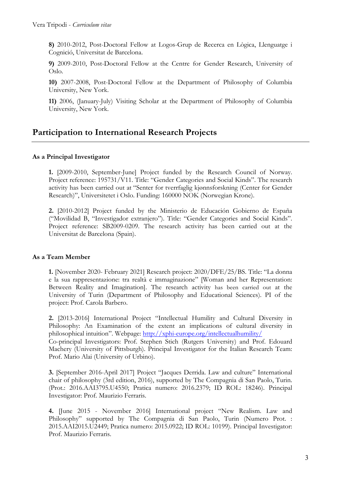**8)** 2010-2012, Post-Doctoral Fellow at Logos-Grup de Recerca en Lògica, Llenguatge i Cognició, Universitat de Barcelona.

**9)** 2009-2010, Post-Doctoral Fellow at the Centre for Gender Research, University of Oslo.

**10)** 2007-2008, Post-Doctoral Fellow at the Department of Philosophy of Columbia University, New York.

**11)** 2006, (January-July) Visiting Scholar at the Department of Philosophy of Columbia University, New York.

# **Participation to International Research Projects**

#### **As a Principal Investigator**

**1.** [2009-2010, September-June] Project funded by the Research Council of Norway. Project reference: 195731/V11. Title: "Gender Categories and Social Kinds". The research activity has been carried out at "Senter for tverrfaglig kjønnsforskning (Center for Gender Research)", Universitetet i Oslo. Funding: 160000 NOK (Norwegian Krone).

**2.** [2010-2012] Project funded by the Ministerio de Educación Gobierno de España ("Movilidad B, "Investigador extranjero"). Title: "Gender Categories and Social Kinds". Project reference: SB2009-0209. The research activity has been carried out at the Universitat de Barcelona (Spain).

#### **As a Team Member**

**1.** [November 2020- February 2021] Research project: 2020/DFE/25/BS. Title: "La donna e la sua rappresentazione: tra realtà e immaginazione" [Woman and her Representation: Between Reality and Imagination]. The research activity has been carried out at the University of Turin (Department of Philosophy and Educational Sciences). PI of the project: Prof. Carola Barbero.

**2.** [2013-2016] International Project "Intellectual Humility and Cultural Diversity in Philosophy: An Examination of the extent an implications of cultural diversity in philosophical intuition". Webpage: http://xphi-europe.org/intellectualhumility/ Co-principal Investigators: Prof. Stephen Stich (Rutgers University) and Prof. Edouard Machery (University of Pittsburgh). Principal Investigator for the Italian Research Team: Prof. Mario Alai (University of Urbino).

**3.** [September 2016-April 2017] Project "Jacques Derrida. Law and culture" International chair of philosophy (3rd edition, 2016), supported by The Compagnia di San Paolo, Turin. (Prot.: 2016.AAI3795.U4550; Pratica numero: 2016.2379; ID ROL: 18246). Principal Investigator: Prof. Maurizio Ferraris.

**4.** [June 2015 - November 2016] International project "New Realism. Law and Philosophy" supported by The Compagnia di San Paolo, Turin (Numero Prot. : 2015.AAI2015.U2449; Pratica numero: 2015.0922; ID ROL: 10199). Principal Investigator: Prof. Maurizio Ferraris.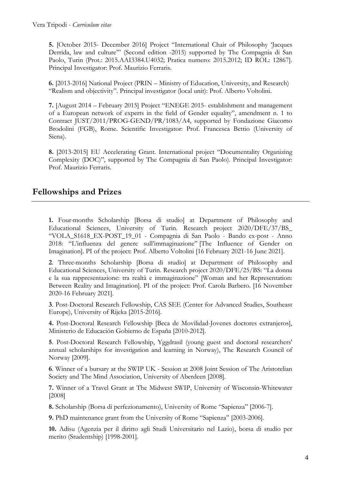**5.** [October 2015- December 2016] Project "International Chair of Philosophy 'Jacques Derrida, law and culture'" (Second edition -2015) supported by The Compagnia di San Paolo, Turin (Prot.: 2015.AAI3384.U4032; Pratica numero: 2015.2012; ID ROL: 12867]. Principal Investigator: Prof. Maurizio Ferraris.

**6.** [2013-2016] National Project (PRIN – Ministry of Education, University, and Research) "Realism and objectivity". Principal investigator (local unit): Prof. Alberto Voltolini.

**7.** [August 2014 – February 2015] Project "ENEGE 2015- establishment and management of a European network of experts in the field of Gender equality", amendment n. 1 to Contract JUST/2011/PROG-GEND/PR/1083/A4, supported by Fondazione Giacomo Brodolini (FGB), Rome. Scientific Investigator: Prof. Francesca Bettio (University of Siena).

**8.** [2013-2015] EU Accelerating Grant. International project "Documentality Organizing Complexity (DOC)", supported by The Compagnia di San Paolo). Principal Investigator: Prof. Maurizio Ferraris.

## **Fellowships and Prizes**

**1.** Four*-*months Scholarship [Borsa di studio] at Department of Philosophy and Educational Sciences, University of Turin. Research project 2020/DFE/37/BS\_ "VOLA\_S1618\_EX-POST\_19\_01 - Compagnia di San Paolo - Bando ex-post - Anno 2018: "L'influenza del genere sull'immaginazione" [The Influence of Gender on Imagination]. PI of the project: Prof. Alberto Voltolini [16 February 2021-16 June 2021].

**2**. Three*-*months Scholarship [Borsa di studio] at Department of Philosophy and Educational Sciences, University of Turin. Research project 2020/DFE/25/BS: "La donna e la sua rappresentazione: tra realtà e immaginazione" [Woman and her Representation: Between Reality and Imagination]. PI of the project: Prof. Carola Barbero. [16 November 2020-16 February 2021].

**3**. Post-Doctoral Research Fellowship, CAS SEE (Center for Advanced Studies, Southeast Europe), University of Rijeka [2015-2016].

**4.** Post-Doctoral Research Fellowship [Beca de Movilidad-Jovenes doctores extranjeros], Ministerio de Educación Gobierno de España [2010-2012].

**5**. Post-Doctoral Research Fellowship, Yggdrasil (young guest and doctoral researchers' annual scholarships for investigation and learning in Norway), The Research Council of Norway [2009].

**6**. Winner of a bursary at the SWIP UK - Session at 2008 Joint Session of The Aristotelian Society and The Mind Association, University of Aberdeen [2008].

**7.** Winner of a Travel Grant at The Midwest SWIP, University of Wisconsin-Whitewater [2008]

**8.** Scholarship (Borsa di perfezionamento), University of Rome "Sapienza" [2006-7].

**9.** PhD maintenance grant from the University of Rome "Sapienza" [2003-2006].

**10.** Adisu (Agenzia per il diritto agli Studi Universitario nel Lazio), borsa di studio per merito (Studentship) [1998-2001].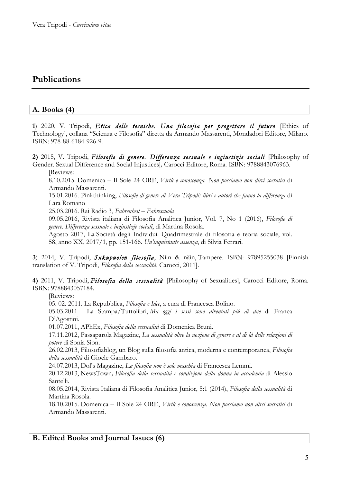## **Publications**

#### **A. Books (4)**

**1**) 2020, V. Tripodi, *Etica delle tecniche. Una filosofia per progettare il futuro* [Ethics of Technology], collana "Scienza e Filosofia" diretta da Armando Massarenti, Mondadori Editore, Milano. ISBN: 978-88-6184-926-9.

**2)** 2015, V. Tripodi, *Filosofie di genere. Differenza sessuale e ingiustizie sociali* [Philosophy of Gender. Sexual Difference and Social Injustices]*,* Carocci Editore, Roma. ISBN: 9788843076963. [Reviews:

8.10.2015. Domenica – Il Sole 24 ORE, *Virtù e conoscenza. Non possiamo non dirci socratici* di Armando Massarenti.

15.01.2016. Pinkthinking, *Filosofie di genere di Vera Tripodi: libri e autori che fanno la differenza* di Lara Romano

25.03.2016. Rai Radio 3, *Fahrenheit – Fahrescuola*

09.05.2016, Rivista italiana di Filosofia Analitica Junior, Vol. 7, No 1 (2016), *Filosofie di genere. Differenza sessuale e ingiustizie sociali*, di Martina Rosola.

Agosto 2017, La Società degli Individui. Quadrimestrale di filosofia e teoria sociale, vol. 58, anno XX, 2017/1, pp. 151-166. *Un'inquietante assenza*, di Silvia Ferrari.

**3**) 2014, V. Tripodi, *Sukupuolen filosofia*, Niin & näin, Tampere. ISBN: 97895255038 [Finnish translation of V. Tripodi, *Filosofia della sessualità*, Carocci, 2011].

**4)** 2011, V. Tripodi, *Filosofia della sessualità* [Philosophy of Sexualities], Carocci Editore, Roma. ISBN: 9788843057184.

[Reviews:

05. 02. 2011. La Repubblica, *Filosofia e Idee*, a cura di Francesca Bolino.

05.03.2011 – La Stampa/Tuttolibri, *Ma oggi i sessi sono diventati più di due* di Franca D'Agostini.

01.07.2011, APhEx, *Filosofia della sessualità* di Domenica Bruni.

17.11.2012, Passaparola Magazine, *La sessualità oltre la nozione di genere e al di là delle relazioni di potere* di Sonia Sion.

26.02.2013, Filosofiablog, un Blog sulla filosofia antica, moderna e contemporanea, *Filosofia della sessualità* di Gioele Gambaro.

24.07.2013, Dol's Magazine, *La filosofia non è solo maschia* di Francesca Lemmi.

20.12.2013, NewsTown*, Filosofia della sessualità e condizione della donna in accademia* di Alessio Santelli.

08.05.2014, Rivista Italiana di Filosofia Analitica Junior, 5:1 (2014), *Filosofia della sessualità* di Martina Rosola.

18.10.2015. Domenica – Il Sole 24 ORE, *Virtù e conoscenza. Non possiamo non dirci socratici* di Armando Massarenti.

#### **B. Edited Books and Journal Issues (6)**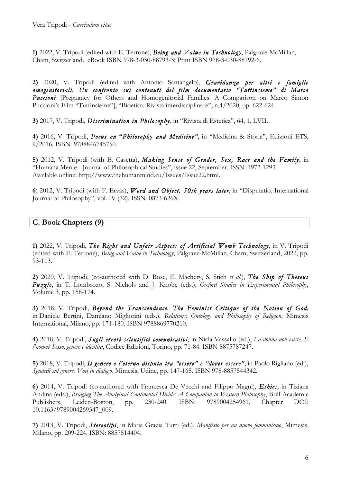**1)** 2022, V. Tripodi (edited with E. Terrone), *Being and Value in Technology*, Palgrave-McMillan, Cham, Switzerland. eBook ISBN 978-3-030-88793-3; Print ISBN 978-3-030-88792-6.

**2)** 2020, V. Tripodi (edited with Antonio Santangelo), *Gravidanza per altri e famiglie omogenitoriali. Un confronto sui contenuti del film documentario "Tuttinsieme" di Marco*  **Puccioni** [Pregnancy for Others and Homogenitorial Families. A Comparison on Marco Simon Puccioni's Film "Tuttinsieme"], "Bioetica. Rivista interdisciplinare", n.4/2020, pp. 622-624.

**3)** 2017, V. Tripodi, *Discrimination in Philosophy*, in "Rivista di Estetica", 64, 1, LVII.

**4)** 2016, V. Tripodi, *Focus on* **"***Philosophy and Medicine"*, in "Medicina & Storia", Edizioni ETS, 9/2016. ISBN: 9788846745750.

**5)** 2012, V. Tripodi (with E. Casetta), *Making Sense of Gender, Sex, Race and the Family*, in "Humana.Mente - Journal of Philosophical Studies", issue 22, September. ISSN: 1972-1293. Available online: http://www.thehumanmind.eu/Issues/Issue22.html.

**6**) 2012, V. Tripodi (with F. Ervas), *Word and Object. 50th years later*, in "Disputatio. International Journal of Philosophy", vol. IV (32). ISSN: 0873-626X.

## **C. Book Chapters (9)**

**1)** 2022, V. Tripodi, *The Right and Unfair Aspects of Artificial Womb Technology*, in V. Tripodi (edited with E. Terrone), *Being and Value in Technology*, Palgrave-McMillan, Cham, Switzerland, 2022, pp. 93-113.

**2)** 2020, V. Tripodi, (co-authored with D. Rose, E. Machery, S. Stich *et al.*), *The Ship of Theseus Puzzle*, in T. Lombrozo, S. Nichols and J. Knobe (eds.), *Oxford Studies in Experimental Philosophy*, Volume 3, pp. 158-174.

**3)** 2018, V. Tripodi, *Beyond the Transcendence. The Feminist Critique of the Notion of God,* in Daniele Bertini, Damiano Migliorini (eds.), *Relations: Ontology and Philosophy of Religion*, Mimesis International, Milano, pp. 171-180. ISBN 9788869770210.

**4)** 2018, V. Tripodi, *Sugli errori scientifici comunicativi*, in Nicla Vassallo (ed.), *La donna non esiste. E l'uomo? Sesso, genere e identità*, Codice Edizioni, Torino, pp. 71-84. ISBN 8875787247.

**5)** 2018, V. Tripodi, *Il genere e l'eterna disputa tra "essere" e "dover essere"*, in Paolo Rigliano (ed.), *Sguardi sul genere*. *Voci in dialogo*, Mimesis, Udine, pp. 147-165. ISBN 978-8857544342.

**6)** 2014, V. Tripodi (co-authored with Francesca De Vecchi and Filippo Magni), *Ethics*, in Tiziana Andina (eds.), *Bridging The Analytical Continental Divide: A Companion to Western Philosophy*, Brill Academic Publishers, Leiden-Boston, pp. 230-240. ISBN: 9789004254961. Chapter DOI: 10.1163/9789004269347\_009.

**7)** 2013, V. Tripodi, *Stereotipi*, in Maria Grazia Turri (ed.), *Manifesto per un nuovo femminismo*, Mimesis, Milano, pp. 209-224. ISBN: 8857514404.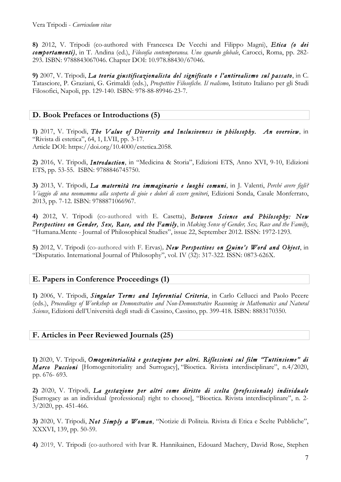**8)** 2012, V. Tripodi (co-authored with Francesca De Vecchi and Filippo Magni), *Etica (o dei comportamenti)*, in T. Andina (ed.), *Filosofia contemporanea. Uno sguardo globale*, Carocci, Roma, pp. 282- 293. ISBN: 9788843067046. Chapter DOI: 10.978.88430/67046.

**9)** 2007, V. Tripodi, *La teoria giustificazionalista del significato e l'antirealismo sul passato*, in C. Tatasciore, P. Graziani, G. Grimaldi (eds.), *Prospettive Filosofiche. Il realismo*, Istituto Italiano per gli Studi Filosofici, Napoli, pp. 129-140. ISBN: 978-88-89946-23-7.

### **D. Book Prefaces or Introductions (5)**

**1)** 2017, V. Tripodi, *The Value of Diversity and Inclusiveness in philosophy. An overview*, in "Rivista di estetica", 64, 1, LVII, pp. 3-17. Article DOI: https://doi.org/10.4000/estetica.2058.

**2)** 2016, V. Tripodi, *Introduction*, in "Medicina & Storia", Edizioni ETS, Anno XVI, 9-10, Edizioni ETS, pp. 53-55. ISBN: 9788846745750.

**3)** 2013, V. Tripodi, *La maternità tra immaginario e luoghi comuni*, in J. Valenti, *Perché avere figli? Viaggio di una neomamma alla scoperta di gioie e dolori di essere genitori*, Edizioni Sonda, Casale Monferrato, 2013, pp. 7-12. ISBN: 9788871066967.

**4)** 2012, V. Tripodi (co-authored with E. Casetta), *Between Science and Philosophy: New Perspectives on Gender, Sex, Race, and the Family*, in *Making Sense of Gender, Sex, Race and the Family*, "Humana.Mente - Journal of Philosophical Studies", issue 22, September 2012. ISSN: 1972-1293.

**5)** 2012, V. Tripodi (co-authored with F. Ervas)*, New Perspectives on Quine's Word and Object*, in "Disputatio. International Journal of Philosophy", vol. IV (32): 317-322. ISSN: 0873-626X.

#### **E. Papers in Conference Proceedings (1)**

**1)** 2006, V. Tripodi, *Singular Terms and Inferential Criteria*, in Carlo Cellucci and Paolo Pecere (eds.), *Proceedings of Workshop on Demonstrative and Non-Demonstrative Reasoning in Mathematics and Natural Science*, Edizioni dell'Università degli studi di Cassino, Cassino, pp. 399-418. ISBN: 8883170350.

## **F. Articles in Peer Reviewed Journals (25)**

**1)** 2020, V. Tripodi, *Omogenitorialità e gestazione per altri. Riflessioni sul film "Tuttinsieme" di Marco Puccioni* [Homogenitoriality and Surrogacy], "Bioetica. Rivista interdisciplinare", n.4/2020, pp. 676- 693.

**2)** 2020, V. Tripodi, *La gestazione per altri come diritto di scelta (professionale) individuale*  [Surrogacy as an individual (professional) right to choose], "Bioetica. Rivista interdisciplinare", n. 2- 3/2020, pp. 451-466.

**3)** 2020, V. Tripodi, *Not Simply a Woman*, "Notizie di Politeia. Rivista di Etica e Scelte Pubbliche", XXXVI, 139, pp. 50-59.

**4)** 2019, V. Tripodi (co-authored with Ivar R. Hannikainen, Edouard Machery, David Rose, Stephen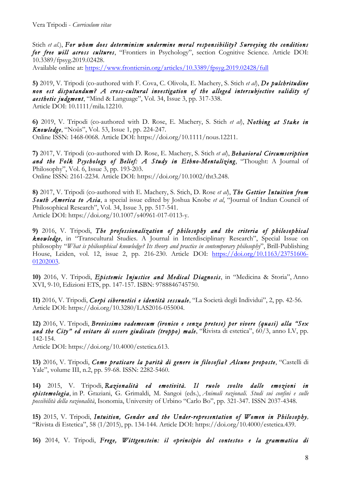Stich *et al.*), *For whom does determinism undermine moral responsibility? Surveying the conditions for free will across cultures*, "Frontiers in Psychology", section Cognitive Science. Article DOI: 10.3389/fpsyg.2019.02428. Available online at: https://www.frontiersin.org/articles/10.3389/fpsyg.2019.02428/full

**5)** 2019, V. Tripodi (co-authored with F. Cova, C. Olivola, E. Machery, S. Stich *et al*), *De pulchritudine non est disputandum? A cross-cultural investigation of the alleged intersubjective validity of aesthetic judgment*, "Mind & Language", Vol. 34, Issue 3, pp. 317-338. Article DOI: 10.1111/mila.12210.

**6)** 2019, V. Tripodi (co-authored with D. Rose, E. Machery, S. Stich *et al*), *Nothing at Stake in Knowledge*, "Noûs", Vol. 53, Issue 1, pp. 224-247. Online ISSN: 1468-0068. Article DOI: https://doi.org/10.1111/nous.12211.

**7)** 2017, V. Tripodi (co-authored with D. Rose, E. Machery, S. Stich *et al*), *Behavioral Circumscription and the Folk Psychology of Belief: A Study in Ethno-Mentalizing*, "Thought: A Journal of Philosophy", Vol. 6, Issue 3, pp. 193-203. Online ISSN: 2161-2234. Article DOI: https://doi.org/10.1002/tht3.248.

**8)** 2017, V. Tripodi (co-authored with E. Machery, S. Stich, D. Rose *et al*), *The Gettier Intuition from South America to Asia*, a special issue edited by Joshua Knobe *et al*, "Journal of Indian Council of Philosophical Research", Vol. 34, Issue 3, pp. 517-541. Article DOI: https://doi.org/10.1007/s40961-017-0113-y.

**9)** 2016, V. Tripodi, *The professionalization of philosophy and the criteria of philosophical knowledge*, in "Transcultural Studies. A Journal in Interdisciplinary Research", Special Issue on philosophy "*What is philosophical knowledge? Its theory and practice in contemporary philosophy*", Brill-Publishing House, Leiden, vol. 12, issue 2, pp. 216-230. Article DOI: https://doi.org/10.1163/23751606- 01202003.

**10)** 2016, V. Tripodi, *Epistemic Injustice and Medical Diagnosis*, in "Medicina & Storia", Anno XVI, 9-10, Edizioni ETS, pp. 147-157. ISBN: 9788846745750.

**11)** 2016, V. Tripodi, *Corpi cibernetici e identità sessuale*, "La Società degli Individui", 2, pp. 42-56. Article DOI: https://doi.org/10.3280/LAS2016-055004.

**12)** 2016, V. Tripodi, *Brevissimo vademecum (ironico e senza pretese) per vivere (quasi) alla "Sex and the City" ed evitare di essere giudicate (troppo) male*, "Rivista di estetica", 60/3, anno LV, pp. 142-154.

Article DOI: https://doi.org/10.4000/estetica.613.

**13)** 2016, V. Tripodi, *Come praticare la parità di genere in filosofia? Alcune proposte*, "Castelli di Yale", volume III, n.2, pp. 59-68. ISSN: 2282-5460.

**14)** 2015, V. Tripodi, *Razionalità ed emotività. Il ruolo svolto dalle emozioni in epistemologia*, in P. Graziani, G. Grimaldi, M. Sangoi (eds.), *Animali razionali. Studi sui confini e sulle possibilità della razionalità*, Isonomia, University of Urbino "Carlo Bo", pp. 321-347. ISSN 2037-4348.

**15)** 2015, V. Tripodi, *Intuition, Gender and the Under-representation of Women in Philosophy,*  "Rivista di Estetica", 58 (1/2015), pp. 134-144. Article DOI: https://doi.org/10.4000/estetica.439.

**16)** 2014, V. Tripodi, *Frege, Wittgenstein: il «principio del contesto» e la grammatica di*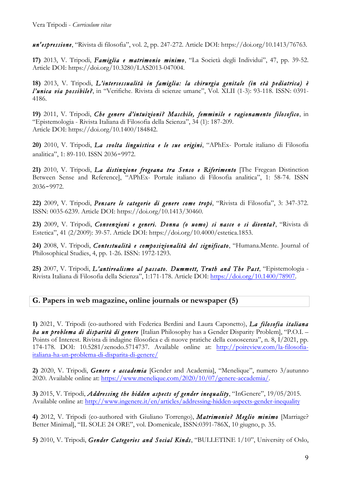*un'espressione*, "Rivista di filosofia", vol. 2, pp. 247-272. Article DOI: https://doi.org/10.1413/76763.

**17)** 2013, V. Tripodi, *Famiglia e matrimonio minimo*, "La Società degli Individui", 47, pp. 39-52. Article DOI: https://doi.org/10.3280/LAS2013-047004.

**18)** 2013, V. Tripodi, *L'intersessualità in famiglia: la chirurgia genitale (in età pediatrica) è l'unica via possibile?*, in "Verifiche. Rivista di scienze umane", Vol. XLII (1-3): 93-118. ISSN: 0391- 4186.

**19)** 2011, V. Tripodi, *Che genere d'intuizioni? Maschile, femminile e ragionamento filosofico*, in "Epistemologia - Rivista Italiana di Filosofia della Scienza", 34 (1): 187-209. Article DOI: https://doi.org/10.1400/184842.

**20)** 2010, V. Tripodi, *La svolta linguistica e le sue origini*, "APhEx- Portale italiano di Filosofia analitica", 1: 89-110. ISSN 2036‐9972.

**21)** 2010, V. Tripodi, *La distinzione fregeana tra Senso e Riferimento* [The Fregean Distinction Between Sense and Reference], "APhEx- Portale italiano di Filosofia analitica", 1: 58-74. ISSN 2036‐9972.

**22)** 2009, V. Tripodi, *Pensare le categorie di genere come tropi*, "Rivista di Filosofia", 3: 347-372. ISSN: 0035-6239. Article DOI: https://doi.org/10.1413/30460.

**23)** 2009, V. Tripodi, *Convenzioni e generi. Donna (o uomo) si nasce o si diventa?*, "Rivista di Estetica", 41 (2/2009): 39-57. Article DOI: https://doi.org/10.4000/estetica.1853.

**24)** 2008, V. Tripodi, *Contestualità e composizionalità del significato*, "Humana.Mente. Journal of Philosophical Studies, 4, pp. 1-26. ISSN: 1972-1293.

**25)** 2007, V. Tripodi, *L'antirealismo al passato. Dummett, Truth and The Past*, "Epistemologia - Rivista Italiana di Filosofia della Scienza", 1:171-178. Article DOI: https://doi.org/10.1400/78907.

## **G. Papers in web magazine, online journals or newspaper (5)**

**1)** 2021, V. Tripodi (co-authored with Federica Berdini and Laura Caponetto), *La filosofia italiana ha un problema di disparità di genere* [Italian Philosophy has a Gender Disparity Problem], "P.O.I. – Points of Interest. Rivista di indagine filosofica e di nuove pratiche della conoscenza", n. 8, I/2021, pp. 174-178. DOI: 10.5281/zenodo.5714737. Available online at: http://poireview.com/la-filosofiaitaliana-ha-un-problema-di-disparita-di-genere/

**2)** 2020, V. Tripodi, *Genere e accademia* [Gender and Academia], "Menelique", numero 3/autunno 2020. Available online at: https://www.menelique.com/2020/10/07/genere-accademia/.

**3)** 2015, V. Tripodi, *Addressing the hidden aspects of gender inequality*, "InGenere", 19/05/2015. Available online at: http://www.ingenere.it/en/articles/addressing-hidden-aspects-gender-inequality

**4)** 2012, V. Tripodi (co-authored with Giuliano Torrengo), *Matrimonio? Meglio minimo* [Marriage? Better Minimal], "IL SOLE 24 ORE", vol. Domenicale, ISSN:0391-786X, 10 giugno, p. 35.

**5)** 2010, V. Tripodi, *Gender Categories and Social Kinds*, "BULLETINE 1/10", University of Oslo,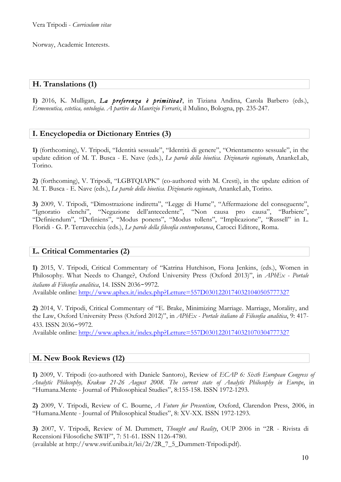Norway, Academic Interests.

### **H. Translations (1)**

**1)** 2016, K. Mulligan, *La preferenza è primitiva?*, in Tiziana Andina, Carola Barbero (eds.), *Ermeneutica, estetica, ontologia. A partire da Maurizio Ferraris*, il Mulino, Bologna, pp. 235-247.

#### **I. Encyclopedia or Dictionary Entries (3)**

**1)** (forthcoming), V. Tripodi, "Identità sessuale", "Identità di genere", "Orientamento sessuale", in the update edition of M. T. Busca - E. Nave (eds.), *Le parole della bioetica. Dizionario ragionato*, AnankeLab, Torino.

**2)** (forthcoming), V. Tripodi, "LGBTQIAPK" (co-authored with M. Cresti), in the update edition of M. T. Busca - E. Nave (eds.), *Le parole della bioetica. Dizionario ragionato*, AnankeLab, Torino.

**3)** 2009, V. Tripodi, "Dimostrazione indiretta", "Legge di Hume", "Affermazione del conseguente", "Ignoratio elenchi", "Negazione dell'antecedente", "Non causa pro causa", "Barbiere", "Definiendum", "Definiens", "Modus ponens", "Modus tollens", "Implicazione", "Russell" in L. Floridi - G. P. Terravecchia (eds.), *Le parole della filosofia contemporanea*, Carocci Editore, Roma.

#### **L. Critical Commentaries (2)**

**1)** 2015, V. Tripodi, Critical Commentary of "Katrina Hutchison, Fiona Jenkins, (eds.), Women in Philosophy. What Needs to Change?, Oxford University Press (Oxford 2013)", in *APhEx - Portale italiano di Filosofia analitica*, 14. ISSN 2036‐9972. Available online: http://www.aphex.it/index.php?Letture=557D03012201740321040505777327

**2)** 2014, V. Tripodi, Critical Commentary of "E. Brake, Minimizing Marriage. Marriage, Morality, and the Law, Oxford University Press (Oxford 2012)", in *APhEx - Portale italiano di Filosofia analitica*, 9: 417- 433. ISSN 2036‐9972.

Available online: http://www.aphex.it/index.php?Letture=557D03012201740321070304777327

#### **M. New Book Reviews (12)**

**1)** 2009, V. Tripodi (co-authored with Daniele Santoro), Review of *ECAP 6: Sixth European Congress of Analytic Philosophy, Krakow 21-26 August 2008. The current state of Analytic Philosophy in Europe*, in "Humana.Mente - Journal of Philosophical Studies", 8:155-158. ISSN 1972-1293.

**2)** 2009, V. Tripodi, Review of C. Bourne, *A Future for Presentism*, Oxford, Clarendon Press, 2006, in "Humana.Mente - Journal of Philosophical Studies", 8: XV-XX. ISSN 1972-1293.

**3)** 2007, V. Tripodi, Review of M. Dummett, *Thought and Reality*, OUP 2006 in "2R - Rivista di Recensioni Filosofiche SWIF", 7: 51-61. ISSN 1126-4780. (available at http://www.swif.uniba.it/lei/2r/2R\_7\_5\_Dummett-Tripodi.pdf).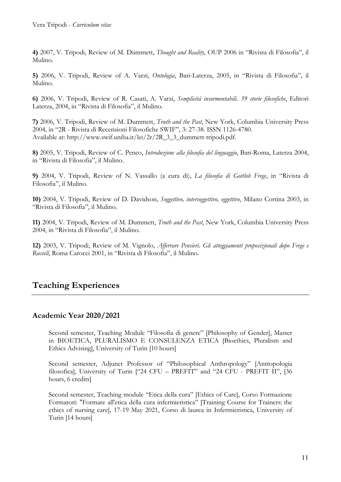**4)** 2007, V. Tripodi, Review of M. Dummett, *Thought and Reality*, OUP 2006 in "Rivista di Filosofia", il Mulino.

**5)** 2006, V. Tripodi, Review of A. Varzi, *Ontologia*, Bari-Laterza, 2005, in "Rivista di Filosofia", il Mulino.

**6)** 2006, V. Tripodi, Review of R. Casati, A. Varzi, *Semplicità insormontabili. 39 storie filosofiche*, Editori Laterza, 2004, in "Rivista di Filosofia", il Mulino.

**7)** 2006, V. Tripodi, Review of M. Dummett, *Truth and the Past*, New York, Columbia University Press 2004, in "2R - Rivista di Recensioni Filosofiche SWIF", 3: 27-38. ISSN 1126-4780. Available at: http://www.swif.uniba.it/lei/2r/2R\_3\_3\_dummett-tripodi.pdf.

**8)** 2005, V. Tripodi, Review of C. Penco, *Introduzione alla filosofia del linguaggio*, Bari-Roma, Laterza 2004, in "Rivista di Filosofia", il Mulino.

**9)** 2004, V. Tripodi, Review of N. Vassallo (a cura di), *La filosofia di Gottlob Frege*, in "Rivista di Filosofia", il Mulino.

**10)** 2004, V. Tripodi, Review of D. Davidson, *Soggettivo, intersoggettivo, oggettivo*, Milano Cortina 2003, in "Rivista di Filosofia", il Mulino.

**11)** 2004, V. Tripodi, Review of M. Dummett, *Truth and the Past*, New York, Columbia University Press 2004, in "Rivista di Filosofia", il Mulino.

**12)** 2003, V. Tripodi, Review of M. Vignolo, *Afferrare Pensieri. Gli atteggiamenti proposizionali dopo Frege e Russell*, Roma Carocci 2001, in "Rivista di Filosofia", il Mulino.

## **Teaching Experiences**

#### **Academic Year 2020/2021**

Second semester, Teaching Module "Filosofia di genere" [Philosophy of Gender], Master in BIOETICA, PLURALISMO E CONSULENZA ETICA [Bioethics, Pluralism and Ethics Advising], University of Turin [10 hours]

Second semester, Adjunct Professor of "Philosophical Anthropology" [Antropologia filosofica], University of Turin ["24 CFU – PREFIT" and "24 CFU - PREFIT II", [36 hours, 6 credits]

Second semester, Teaching module "Etica della cura" [Ethics of Care], Corso Formazione Formatori: "Formare all'etica della cura infermieristica" [Training Course for Trainers: the ethics of nursing care]*,* 17-19 May 2021, Corso di laurea in Infermieristica, University of Turin [14 hours]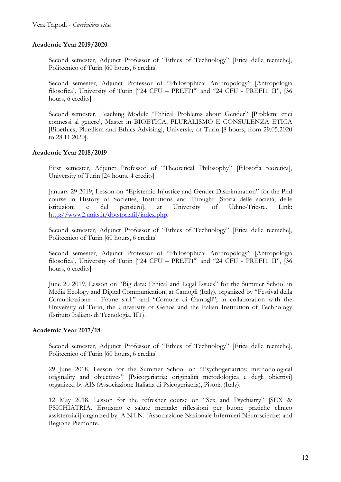#### **Academic Year 2019/2020**

Second semester, Adjunct Professor of "Ethics of Technology" [Etica delle tecniche], Politecnico of Turin [60 hours, 6 credits]

Second semester, Adjunct Professor of "Philosophical Anthropology" [Antropologia filosofica], University of Turin ["24 CFU – PREFIT" and "24 CFU - PREFIT II", [36 hours, 6 credits]

Second semester, Teaching Module "Ethical Problems about Gender" [Problemi etici connessi al genere], Master in BIOETICA, PLURALISMO E CONSULENZA ETICA [Bioethics, Pluralism and Ethics Advising], University of Turin [8 hours, from 29.05.2020 to 28.11.2020].

#### **Academic Year 2018/2019**

First semester, Adjunct Professor of "Theoretical Philosophy" [Filosofia teoretica], University of Turin [24 hours, 4 credits]

January 29 2019, Lesson on "Epistemic Injustice and Gender Discrimination" for the Phd course in History of Societies, Institutions and Thought [Storia delle società, delle istituzioni e del pensiero], at University of Udine-Trieste. Link: http://www2.units.it/dotstoriafil/index.php.

Second semester, Adjunct Professor of "Ethics of Technology" [Etica delle tecniche], Politecnico of Turin [60 hours, 6 credits]

Second semester, Adjunct Professor of "Philosophical Anthropology" [Antropologia filosofica], University of Turin ["24 CFU – PREFIT" and "24 CFU - PREFIT II", [36 hours, 6 credits]

June 20 2019, Lesson on "Big data: Ethical and Legal Issues" for the Summer School in Media Ecology and Digital Communication, at Camogli (Italy), organized by "Festival della Comunicazione – Frame s.r.l." and "Comune di Camogli", in collaboration with the University of Turin, the University of Genoa and the Italian Institution of Technology (Istituto Italiano di Tecnologia, IIT).

#### **Academic Year 2017/18**

Second semester, Adjunct Professor of "Ethics of Technology" [Etica delle tecniche], Politecnico of Turin [60 hours, 6 credits]

29 June 2018, Lesson for the Summer School on "Psychogeriatrics: methodological originality and objectives" [Psicogeriatria: originalità metodologica e degli obiettivi] organized by AIS (Associazione Italiana di Psicogeriatria), Pistoia (Italy).

12 May 2018, Lesson for the refresher course on "Sex and Psychiatry" [SEX & PSICHIATRIA. Erotismo e salute mentale: riflessioni per buone pratiche clinico assistenziali] organized by A.N.I.N. (Associazione Nazionale Infermieri Neuroscienze) and Regione Piemonte.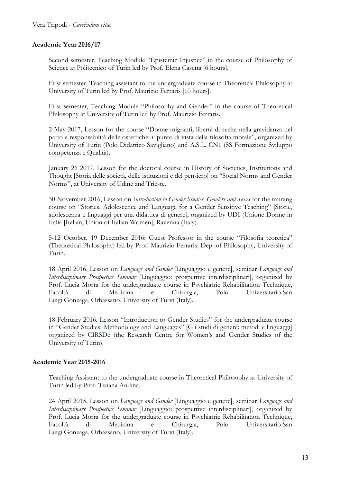#### **Academic Year 2016/17**

Second semester, Teaching Module "Epistemic Injustice" in the course of Philosophy of Science at Politecnico of Turin led by Prof. Elena Casetta [6 hours].

First semester, Teaching assistant to the undergraduate course in Theoretical Philosophy at University of Turin led by Prof. Maurizio Ferraris [10 hours].

First semester, Teaching Module "Philosophy and Gender" in the course of Theoretical Philosophy at University of Turin led by Prof. Maurizio Ferraris.

2 May 2017, Lesson for the course "Donne migranti, libertà di scelta nella gravidanza nel parto e responsabilità delle ostetriche: il punto di vista della filosofia morale", organized by University of Turin (Polo Didattico Savigliano) and A.S.L. CN1 (SS Formazione Sviluppo competenza e Qualità).

January 26 2017, Lesson for the doctoral course in History of Societies, Institutions and Thought [Storia delle società, delle istituzioni e del pensiero] on "Social Norms and Gender Norms", at University of Udine and Trieste.

30 November 2016, Lesson on I*ntroduction to Gender Studies. Genders and Sexes* for the training course on "Stories, Adolescence and Language for a Gender Sensitive Teaching" [Storie, adolescenza e linguaggi per una didattica di genere], organized by UDI (Unione Donne in Italia [Italian, Union of Italian Women], Ravenna (Italy).

5-12 October, 19 December 2016: Guest Professor in the course "Filosofia teoretica" (Theoretical Philosophy) led by Prof. Maurizio Ferraris; Dep. of Philosophy, University of Turin.

18 April 2016, Lesson on *Language and Gender* [Linguaggio e genere], seminar *Language and Interdisciplinary Prospective Seminar* [Linguaggio: prospettive interdisciplinari], organized by Prof. Lucia Morra for the undergraduate course in Psychiatric Rehabilitation Technique, Facoltà di Medicina e Chirurgia, Polo Universitario San Luigi Gonzaga, Orbassano, University of Turin (Italy).

18 February 2016, Lesson "Introduction to Gender Studies" for the undergraduate course in "Gender Studies: Methodology and Languages" [Gli studi di genere: metodi e linguaggi] organized by CIRSDe (the Research Centre for Women's and Gender Studies of the University of Turin).

#### **Academic Year 2015-2016**

Teaching Assistant to the undergraduate course in Theoretical Philosophy at University of Turin led by Prof. Tiziana Andina.

24 April 2015, Lesson on *Language and Gender* [Linguaggio e genere], seminar *Language and Interdisciplinary Prospective Seminar* [Linguaggio: prospettive interdisciplinari], organized by Prof. Lucia Morra for the undergraduate course in Psychiatric Rehabilitation Technique, Facoltà di Medicina e Chirurgia, Polo Universitario San Luigi Gonzaga, Orbassano, University of Turin (Italy).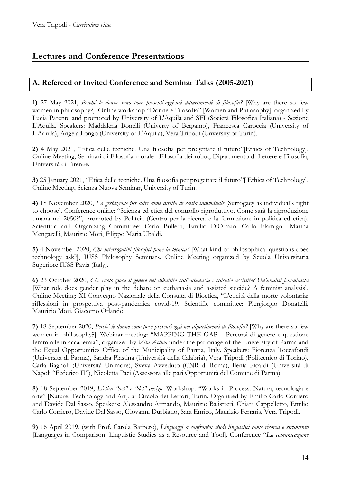# **Lectures and Conference Presentations**

## **A. Refereed or Invited Conference and Seminar Talks (2005-2021)**

**1)** 27 May 2021, *Perché le donne sono poco presenti oggi nei dipartimenti di filosofia?* [Why are there so few women in philosophy?]. Online workshop "Donne e Filosofia" [Women and Philosophy], organized by Lucia Parente and promoted by University of L'Aquila and SFI (Società Filosofica Italiana) - Sezione L'Aquila. Speakers: Maddalena Bonelli (Univerty of Bergamo), Francesca Caroccia (University of L'Aquila), Angela Longo (University of L'Aquila), Vera Tripodi (Unversity of Turin).

**2)** 4 May 2021, "Etica delle tecniche. Una filosofia per progettare il futuro"[Ethics of Technology], Online Meeting, Seminari di Filosofia morale– Filosofia dei robot, Dipartimento di Lettere e Filosofia, Università di Firenze.

**3)** 25 January 2021, "Etica delle tecniche. Una filosofia per progettare il futuro"[ Ethics of Technology], Online Meeting, Scienza Nuova Seminar, University of Turin.

**4)** 18 November 2020, *La gestazione per altri come diritto di scelta individuale* [Surrogacy as individual's right to choose]. Conference online: "Scienza ed etica del controllo riproduttivo. Come sarà la riproduzione umana nel 2050?", promoted by Politeia (Centro per la ricerca e la formazione in politica ed etica). Scientific and Organizing Committee: Carlo Bulletti, Emilio D'Orazio, Carlo Flamigni, Marina Mengarelli, Maurizio Mori, Filippo Maria Ubaldi.

**5)** 4 November 2020, *Che interrogativi filosofici pone la tecnica?* [What kind of philosophical questions does technology ask?], IUSS Philosophy Seminars. Online Meeting organized by Scuola Universitaria Superiore IUSS Pavia (Italy).

**6)** 23 October 2020, *Che ruolo gioca il genere nel dibattito sull'eutanasia e suicidio assistito? Un'analisi femminista*  [What role does gender play in the debate on euthanasia and assisted suicide? A feminist analysis]. Online Meeting: XI Convegno Nazionale della Consulta di Bioetica, "L'eticità della morte volontaria: riflessioni in prospettiva post-pandemica covid-19. Scientific committee: Piergiorgio Donatelli, Maurizio Mori, Giacomo Orlando.

**7)** 18 September 2020, *Perché le donne sono poco presenti oggi nei dipartimenti di filosofia?* [Why are there so few women in philosophy?]. Webinar meeting: "MAPPING THE GAP – Percorsi di genere e questione femminile in accademia", organized by *Vita Activa* under the patronage of the University of Parma and the Equal Opportunities Office of the Municipality of Parma, Italy. Speakers: Fiorenza Toccafondi (Università di Parma), Sandra Plastina (Università della Calabria), Vera Tripodi (Politecnico di Torino), Carla Bagnoli (Università Unimore), Sveva Avveduto (CNR di Roma), Ilenia Picardi (Università di Napoli "Federico II"), Nicoletta Paci (Assessora alle pari Opportunità del Comune di Parma).

**8)** 18 September 2019, *L'etica "nel" e "del" design*. Workshop: "Works in Process. Natura, tecnologia e arte" [Nature, Technology and Art], at Circolo dei Lettori, Turin. Organized by Emilio Carlo Corriero and Davide Dal Sasso. Speakers: Alessandro Armando, Maurizio Balistreri, Chiara Cappelletto, Emilio Carlo Corriero, Davide Dal Sasso, Giovanni Durbiano, Sara Enrico, Maurizio Ferraris, Vera Tripodi.

**9)** 16 April 2019, (with Prof. Carola Barbero), *Linguaggi a confronto: studi linguistici come risorsa e strumento* [Languages in Comparison: Linguistic Studies as a Resource and Tool]. Conference "*La comunicazione*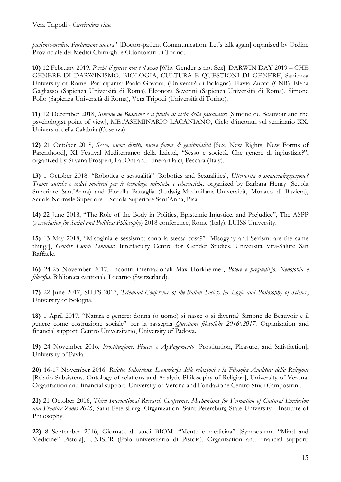*paziente-medico. Parliamone ancora*" [Doctor-patient Communication. Let's talk again] organized by Ordine Provinciale dei Medici Chirurghi e Odontoiatri di Torino.

**10)** 12 February 2019, *Perché il genere non è il sesso* [Why Gender is not Sex], DARWIN DAY 2019 – CHE GENERE DI DARWINISMO. BIOLOGIA, CULTURA E QUESTIONI DI GENERE, Sapienza University of Rome. Participants: Paolo Govoni, (Università di Bologna), Flavia Zucco (CNR), Elena Gagliasso (Sapienza Università di Roma), Eleonora Severini (Sapienza Università di Roma), Simone Pollo (Sapienza Università di Roma), Vera Tripodi (Università di Torino).

**11)** 12 December 2018, *Simone de Beauvoir e il punto di vista della psicanalisi* [Simone de Beauvoir and the psychologist point of view], METASEMINARIO LACANIANO, Ciclo d'incontri sul seminario XX, Università della Calabria (Cosenza).

**12)** 21 October 2018, *Sesso, nuovi diritti, nuove forme di genitorialità* [Sex, New Rights, New Forms of Parenthood], XI Festival Mediterraneo della Laicità, "Sesso e società. Che genere di ingiustizie?", organized by Silvana Prosperi, LabOnt and Itinerari laici, Pescara (Italy).

**13)** 1 October 2018, "Robotica e sessualità" [Robotics and Sexualities], *Ulteriorità o smaterializzazione? Trame antiche e codici moderni per le tecnologie robotiche e cibernetiche*, organized by Barbara Henry (Scuola Superiore Sant'Anna) and Fiorella Battaglia (Ludwig-Maximilians-Universität, Monaco di Baviera), Scuola Normale Superiore – Scuola Superiore Sant'Anna, Pisa.

**14)** 22 June 2018, "The Role of the Body in Politics, Epistemic Injustice, and Prejudice", The ASPP (*Association for Social and Political Philosophy*) 2018 conference, Rome (Italy), LUISS University.

**15)** 13 May 2018, "Misoginia e sessismo: sono la stessa cosa?" [Misogyny and Sexism: are the same thing?], *Gender Lunch Seminar*, Interfaculty Centre for Gender Studies, Università Vita-Salute San Raffaele.

**16)** 24-25 November 2017, Incontri internazionali Max Horkheimer, *Potere e pregiudizio. Xenofobia e filosofia*, Biblioteca cantonale Locarno (Switzerland)*.*

**17)** 22 June 2017, SILFS 2017, *Triennial Conference of the Italian Society for Logic and Philosophy of Science*, University of Bologna.

**18)** 1 April 2017, "Natura e genere: donna (o uomo) si nasce o si diventa? Simone de Beauvoir e il genere come costruzione sociale" per la rassegna *Questioni filosofiche 2016\2017*. Organization and financial support: Centro Universitario, University of Padova.

**19)** 24 November 2016, *Prostituzione, Piacere e ApPagamento* [Prostitution, Pleasure, and Satisfaction], University of Pavia.

**20)** 16-17 November 2016, *Relatio Subsistens. L'ontologia delle relazioni e la Filosofia Analitica della Religione* [Relatio Subsistens. Ontology of relations and Analytic Philosophy of Religion], University of Verona. Organization and financial support: University of Verona and Fondazione Centro Studi Campostrini.

**21)** 21 October 2016, *Third International Research Conference. Mechanisms for Formation of Cultural Exclusion and Frontier Zones-2016*, Saint-Petersburg. Organization: Saint-Petersburg State University - Institute of Philosophy.

**22)** 8 September 2016, Giornata di studi BIOM "Mente e medicina" [Symposium "Mind and Medicine" Pistoia], UNISER (Polo universitario di Pistoia). Organization and financial support: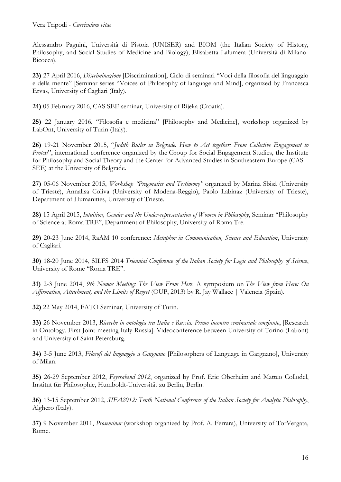Alessandro Pagnini, Università di Pistoia (UNISER) and BIOM (the Italian Society of History, Philosophy, and Social Studies of Medicine and Biology); Elisabetta Lalumera (Università di Milano-Bicocca).

**23)** 27 April 2016, *Discriminazione* [Discrimination], Ciclo di seminari "Voci della filosofia del linguaggio e della mente" [Seminar series "Voices of Philosophy of language and Mind], organized by Francesca Ervas, University of Cagliari (Italy).

**24)** 05 February 2016, CAS SEE seminar, University of Rijeka (Croatia).

**25)** 22 January 2016, "Filosofia e medicina" [Philosophy and Medicine], workshop organized by LabOnt, University of Turin (Italy).

**26)** 19-21 November 2015, "*Judith Butler in Belgrade. How to Act together: From Collective Engagement to Protest*", international conference organized by the Group for Social Engagement Studies, the Institute for Philosophy and Social Theory and the Center for Advanced Studies in Southeastern Europe (CAS – SEE) at the University of Belgrade.

**27)** 05-06 November 2015, *Workshop "Pragmatics and Testimony"* organized by Marina Sbisà (University of Trieste), Annalisa Coliva (University of Modena-Reggio), Paolo Labinaz (University of Trieste), Department of Humanities, University of Trieste.

**28)** 15 April 2015, *Intuition, Gender and the Under-representation of Women in Philosophy*, Seminar "Philosophy of Science at Roma TRE", Department of Philosophy, University of Roma Tre.

**29)** 20-23 June 2014, RaAM 10 conference: *Metaphor in Communication, Science and Education*, University of Cagliari.

**30)** 18-20 June 2014, SILFS 2014 *Triennial Conference of the Italian Society for Logic and Philosophy of Science*, University of Rome "Roma TRE".

**31)** 2-3 June 2014, *9th Nomos Meeting: The View From Here*. A symposium on *The View from Here: On Affirmation, Attachment, and the Limits of Regret* (OUP, 2013) by R. Jay Wallace | Valencia (Spain).

**32)** 22 May 2014, FATO Seminar, University of Turin.

**33)** 26 November 2013, *Ricerche in ontologia tra Italia e Russia. Primo incontro seminariale congiunto*, [Research in Ontology. First Joint-meeting Italy-Russia]. Videoconference between University of Torino (Labont) and University of Saint Petersburg.

**34)** 3-5 June 2013, *Filosofi del linguaggio a Gargnano* [Philosophers of Language in Gargnano], University of Milan.

**35)** 26-29 September 2012, *Feyerabend 2012*, organized by Prof. Eric Oberheim and Matteo Collodel, Institut für Philosophie, Humboldt-Universität zu Berlin, Berlin.

**36)** 13-15 September 2012, *SIFA2012: Tenth National Conference of the Italian Society for Analytic Philosophy*, Alghero (Italy).

**37)** 9 November 2011, *Proseminar* (workshop organized by Prof. A. Ferrara), University of TorVergata, Rome.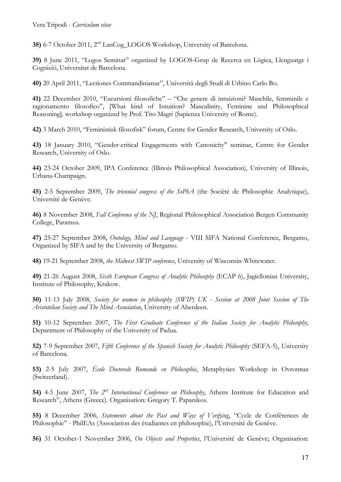**38)** 6-7 October 2011, 2nd LanCog\_LOGOS Workshop, University of Barcelona.

**39)** 8 June 2011, "Logos Seminar" organized by LOGOS-Grup de Recerca en Lògica, Llenguatge i Cognició, Universitat de Barcelona.

**40)** 20 April 2011, "Lectiones Commandinianae", Università degli Studi di Urbino Carlo Bo.

**41)** 22 December 2010, "Escursioni filosofiche" – "Che genere di intuizioni? Maschile, femminile e ragionamento filosofico", [What kind of Intuition? Masculinity, Feminine and Philosophical Reasoning]*,* workshop organized by Prof. Tito Magri (Sapienza University of Rome).

**42)** 3 March 2010, "Feministisk filosofisk" forum, Centre for Gender Research, University of Oslo.

**43)** 18 January 2010, "Gender-critical Engagements with Canonicity" seminar, Centre for Gender Research, University of Oslo.

**44)** 23-24 October 2009, IPA Conference (Illinois Philosophical Association), University of Illinois, Urbana-Champaign.

**45)** 2-5 September 2009, *The triennial congress of the SoPhA* (the Société de Philosophie Analytique), Université de Genève.

**46)** 8 November 2008, *Fall Conference of the NJ*, Regional Philosophical Association Bergen Community College, Paramus.

**47)** 25-27 September 2008, *Ontology, Mind and Language* - VIII SIFA National Conference, Bergamo, Organized by SIFA and by the University of Bergamo.

**48)** 19-21 September 2008, *the Midwest SWIP conference*, University of Wisconsin-Whitewater.

**49)** 21-26 August 2008, *Sixth European Congress of Analytic Philosophy* (ECAP 6), Jagiellonian University, Institute of Philosophy, Krakow.

**50)** 11-13 July 2008, *Society for women in philosophy (SWIP) UK - Session at 2008 Joint Session of The Aristotelian Society and The Mind Association*, University of Aberdeen.

**51)** 10-12 September 2007, *The First Graduate Conference of the Italian Society for Analytic Philosophy*, Department of Philosophy of the University of Padua.

**52)** 7-9 September 2007, *Fifth Conference of the Spanish Society for Analytic Philosophy* (SEFA-5), University of Barcelona.

**53)** 2-5 July 2007, *École Doctorale Romande en Philosophie*, Metaphysics Workshop in Ovronnaz (Switzerland).

**54)** 4-5 June 2007, *The 2nd International Conference on Philosophy*, Athens Institute for Education and Research", Athens (Greece). Organisation: Gregory T. Papanikos.

**55)** 8 December 2006, *Statements about the Past and Ways of Verifying*, "Cycle de Conférences de Philosophie" - PhilEAs (Association des étudiantes en philosophie), l'Université de Genève.

**56)** 31 October-1 November 2006, *On Objects and Properties*, l'Université de Genève; Organisation: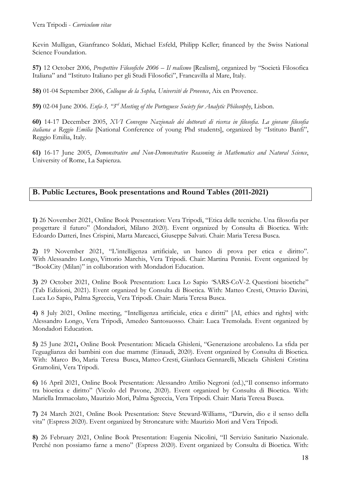Kevin Mulligan, Gianfranco Soldati, Michael Esfeld, Philipp Keller; financed by the Swiss National Science Foundation.

**57)** 12 October 2006, *Prospettive Filosofiche 2006 – Il realismo* [Realism], organized by "Società Filosofica Italiana" and "Istituto Italiano per gli Studi Filosofici", Francavilla al Mare, Italy.

**58)** 01-04 September 2006, *Colloque de la Sopha, Université de Provence*, Aix en Provence.

**59)** 02-04 June 2006. *Enfa-3, "3rd Meeting of the Portuguese Society for Analytic Philosophy*, Lisbon.

**60)** 14-17 December 2005, *XVI Convegno Nazionale dei dottorati di ricerca in filosofia. La giovane filosofia italiana a Reggio Emilia* [National Conference of young Phd students], organized by "Istituto Banfi", Reggio Emilia, Italy.

**61)** 16-17 June 2005, *Demonstrative and Non-Demonstrative Reasoning in Mathematics and Natural Science*, University of Rome, La Sapienza.

## **B. Public Lectures, Book presentations and Round Tables (2011-2021)**

**1)** 26 November 2021, Online Book Presentation: Vera Tripodi, "Etica delle tecniche. Una filosofia per progettare il futuro" (Mondadori, Milano 2020). Event organized by Consulta di Bioetica. With: Edoardo Datteri, Ines Crispini, Marta Marcacci, Giuseppe Salvati. Chair: Maria Teresa Busca.

**2)** 19 November 2021, "L'intelligenza artificiale, un banco di prova per etica e diritto". With Alessandro Longo, Vittorio Marchis, Vera Tripodi. Chair: Martina Pennisi. Event organized by "BookCity (Milan)" in collaboration with Mondadori Education.

**3)** 29 October 2021, Online Book Presentation: Luca Lo Sapio *"*SARS-CoV-2. Questioni bioetiche" (Tab Edizioni, 2021). Event organized by Consulta di Bioetica. With: Matteo Cresti, Ottavio Davini, Luca Lo Sapio, Palma Sgreccia, Vera Tripodi. Chair: Maria Teresa Busca.

**4)** 8 July 2021, Online meeting, "Intelligenza artificiale, etica e diritti" [AI, ethics and rights] with: Alessandro Longo, Vera Tripodi, Amedeo Santosuosso. Chair: Luca Tremolada. Event organized by Mondadori Education.

**5)** 25 June 2021**,** Online Book Presentation: Micaela Ghisleni, "Generazione arcobaleno. La sfida per l'eguaglianza dei bambini con due mamme (Einaudi, 2020). Event organized by Consulta di Bioetica. With: Marco Bo, Maria Teresa Busca, Matteo Cresti, Gianluca Gennarelli, Micaela Ghisleni Cristina Gramolini, Vera Tripodi.

**6)** 16 April 2021, Online Book Presentation: Alessandro Attilio Negroni (ed.),"Il consenso informato tra bioetica e diritto" (Vicolo del Pavone, 2020). Event organized by Consulta di Bioetica. With: Mariella Immacolato, Maurizio Mori, Palma Sgreccia, Vera Tripodi. Chair: Maria Teresa Busca.

**7)** 24 March 2021, Online Book Presentation: Steve Steward-Williams, "Darwin, dio e il senso della vita" (Espress 2020). Event organized by Stroncature with: Maurizio Mori and Vera Tripodi.

**8)** 26 February 2021, Online Book Presentation: Eugenia Nicolini, "Il Servizio Sanitario Nazionale. Perché non possiamo farne a meno" (Espress 2020). Event organized by Consulta di Bioetica. With: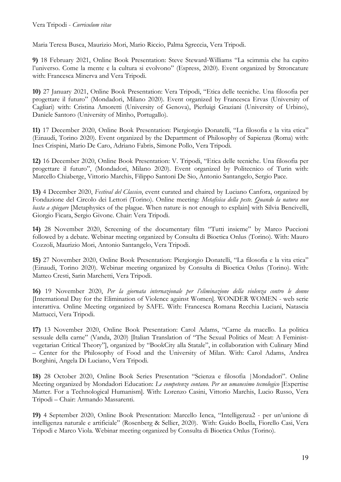Maria Teresa Busca, Maurizio Mori, Mario Riccio, Palma Sgreccia, Vera Tripodi.

**9)** 18 February 2021, Online Book Presentation: Steve Steward-Williams "La scimmia che ha capito l'universo. Come la mente e la cultura si evolvono" (Espress, 2020). Event organized by Stroncature with: Francesca Minerva and Vera Tripodi.

**10)** 27 January 2021, Online Book Presentation: Vera Tripodi, "Etica delle tecniche. Una filosofia per progettare il futuro" (Mondadori, Milano 2020). Event organized by Francesca Ervas (University of Cagliari) with: Cristina Amoretti (University of Genova), Pierluigi Graziani (University of Urbino), Daniele Santoro (University of Minho, Portugallo).

**11)** 17 December 2020, Online Book Presentation: Piergiorgio Donatelli, "La filosofia e la vita etica" (Einaudi, Torino 2020). Event organized by the Department of Philosophy of Sapienza (Roma) with: Ines Crispini, Mario De Caro, Adriano Fabris, Simone Pollo, Vera Tripodi.

**12)** 16 December 2020, Online Book Presentation: V. Tripodi, "Etica delle tecniche. Una filosofia per progettare il futuro", (Mondadori, Milano 2020). Event organized by Politecnico of Turin with: Marcello Chiaberge, Vittorio Marchis, Filippo Santoni De Sio, Antonio Santangelo, Sergio Pace.

**13)** 4 December 2020, *Festival del Classico*, event curated and chaired by Luciano Canfora, organized by Fondazione del Circolo dei Lettori (Torino). Online meeting: *Metafisica della peste. Quando la natura non basta a spiegare* [Metaphysics of the plague. When nature is not enough to explain] with Silvia Bencivelli, Giorgio Ficara, Sergio Givone. Chair: Vera Tripodi.

**14)** 28 November 2020, Screening of the documentary film "Tutti insieme" by Marco Puccioni followed by a debate. Webinar meeting organized by Consulta di Bioetica Onlus (Torino). With: Mauro Cozzoli, Maurizio Mori, Antonio Santangelo, Vera Tripodi.

**15)** 27 November 2020, Online Book Presentation: Piergiorgio Donatelli, "La filosofia e la vita etica" (Einaudi, Torino 2020). Webinar meeting organized by Consulta di Bioetica Onlus (Torino). With: Matteo Cresti, Sarin Marchetti, Vera Tripodi.

**16)** 19 November 2020, *Per la giornata internazionale per l'eliminazione della violenza contro le donne* [International Day for the Elimination of Violence against Women]. WONDER WOMEN - web serie interattiva. Online Meeting organized by SAFE. With: Francesca Romana Recchia Luciani, Natascia Mattucci, Vera Tripodi.

**17)** 13 November 2020, Online Book Presentation: Carol Adams, "Carne da macello. La politica sessuale della carne" (Vanda, 2020) [Italian Translation of "The Sexual Politics of Meat: A Feministvegetarian Critical Theory"], organized by "BookCity alla Statale", in collaboration with Culinary Mind – Center for the Philosophy of Food and the University of Milan. With: Carol Adams, Andrea Borghini, Angela Di Luciano, Vera Tripodi.

**18)** 28 October 2020, Online Book Series Presentation "Scienza e filosofia |Mondadori". Online Meeting organized by Mondadori Education: *Le competenze contano. Per un umanesimo tecnologico* [Expertise Matter. For a Technological Humanism]. With: Lorenzo Casini, Vittorio Marchis, Lucio Russo, Vera Tripodi – Chair: Armando Massarenti.

**19)** 4 September 2020, Online Book Presentation: Marcello Ienca, "Intelligenza2 - per un'unione di intelligenza naturale e artificiale" (Rosenberg & Sellier, 2020). With: Guido Boella, Fiorello Casi, Vera Tripodi e Marco Viola. Webinar meeting organized by Consulta di Bioetica Onlus (Torino).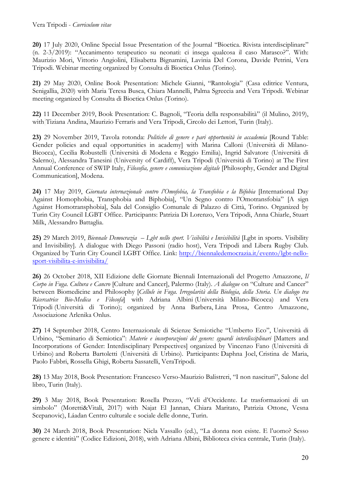**20)** 17 July 2020, Online Special Issue Presentation of the Journal "Bioetica. Rivista interdisciplinare" (n. 2-3/2019): "Accanimento terapeutico su neonati: ci insega qualcosa il caso Marasco?". With: Maurizio Mori, Vittorio Angiolini, Elisabetta Bignamini, Lavinia Del Corona, Davide Petrini, Vera Tripodi. Webinar meeting organized by Consulta di Bioetica Onlus (Torino).

**21)** 29 May 2020, Online Book Presentation: Michele Gianni, "Rantologia" (Casa editrice Ventura, Senigallia, 2020) with Maria Teresa Busca, Chiara Mannelli, Palma Sgreccia and Vera Tripodi. Webinar meeting organized by Consulta di Bioetica Onlus (Torino).

**22)** 11 December 2019, Book Presentation: C. Bagnoli, "Teoria della responsabilità" (il Mulino, 2019), with Tiziana Andina, Maurizio Ferraris and Vera Tripodi, Circolo dei Lettori, Turin (Italy).

**23)** 29 November 2019, Tavola rotonda: *Politiche di genere e pari opportunità in accademia* [Round Table: Gender policies and equal opportunities in academy] with Marina Calloni (Università di Milano-Bicocca), Cecilia Robustelli (Università di Modena e Reggio Emilia), Ingrid Salvatore (Università di Salerno), Alessandra Tanesini (University of Cardiff), Vera Tripodi (Università di Torino) at The First Annual Conference of SWIP Italy, *Filosofia, genere e comunicazione digitale* [Philosophy, Gender and Digital Communication], Modena.

**24)** 17 May 2019, *Giornata internazionale contro l'Omofobia, la Transfobia e la Bifobia* [International Day Against Homophobia, Transphobia and Biphobia], "Un Segno contro l'Omotransfobia" [A sign Against Homotransphobia], Sala del Consiglio Comunale di Palazzo di Città, Torino. Organized by Turin City Council LGBT Office. Participants: Patrizia Di Lorenzo, Vera Tripodi, Anna Chiarle, Stuart Milk, Alessandro Battaglia.

**25)** 29 March 2019, *Biennale Democrazia – Lgbt nello sport. Visibilità e Invisibilità* [Lgbt in sports. Visibility and Invisibility]. A dialogue with Diego Passoni (radio host), Vera Tripodi and Libera Rugby Club. Organized by Turin City Council LGBT Office. Link: http://biennaledemocrazia.it/evento/lgbt-nellosport-visibilita-e-invisibilita/

**26)** 26 October 2018, XII Edizione delle Giornate Biennali Internazionali del Progetto Amazzone, *Il Corpo in Fuga. Cultura e Cancro* [Culture and Cancer], Palermo (Italy). *A dialogue* on "Culture and Cancer" between Biomedicine and Philosophy [*Cellule in Fuga. Irregolarità della Biologia, della Storia. Un dialogo tra Ricercatrice Bio-Medica e Filosofa*] with Adriana Albini (Università Milano-Bicocca) and Vera Tripodi (Università di Torino); organized by Anna Barbera, Lina Prosa, Centro Amazzone, Associazione Arlenika Onlus.

**27)** 14 September 2018, Centro Internazionale di Scienze Semiotiche "Umberto Eco", Università di Urbino, "Seminario di Semiotica": *Materie e incorporazioni del genere: sguardi interdisciplinari* [Matters and Incorporations of Gender: Interdisciplinary Perspectives] organized by Vincenzo Fano (Università di Urbino) and Roberta Bartoletti (Università di Urbino). Participants: Daphna Joel, Cristina de Maria, Paolo Fabbri, Rossella Ghigi, Roberta Sassatelli, VeraTripodi.

**28)** 13 May 2018, Book Presentation: Francesco Verso-Maurizio Balistreri, "I non nascituri", Salone del libro, Turin (Italy).

**29)** 3 May 2018, Book Presentation: Rosella Prezzo, "Veli d'Occidente. Le trasformazioni di un simbolo" (Moretti&Vitali, 2017) with Najat El Jannan, Chiara Maritato, Patrizia Ottone, Vesna Scepanovic), Láadan Centro culturale e sociale delle donne, Turin.

**30)** 24 March 2018, Book Presentation: Nicla Vassallo (ed.), "La donna non esiste. E l'uomo? Sesso genere e identità" (Codice Edizioni, 2018), with Adriana Albini, Biblioteca civica centrale, Turin (Italy).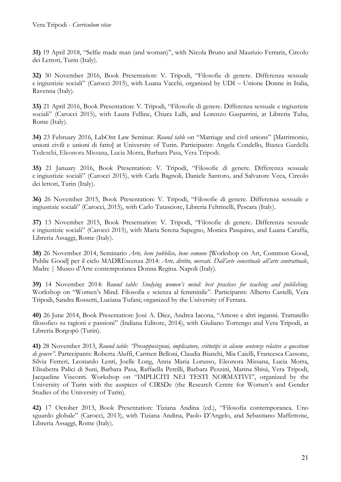**31)** 19 April 2018, "Selfie made man (and woman)", with Nicola Bruno and Maurizio Ferraris, Circolo dei Lettori, Turin (Italy).

**32)** 30 November 2016, Book Presentation: V. Tripodi, "Filosofie di genere. Differenza sessuale e ingiustizie sociali" (Carocci 2015), with Luana Vacchi, organized by UDI – Unione Donne in Italia, Ravenna (Italy).

**33)** 21 April 2016, Book Presentation: V. Tripodi, "Filosofie di genere. Differenza sessuale e ingiustizie sociali" (Carocci 2015), with Laura Felline, Chiara Lalli, and Lorenzo Gasparrini, at Libreria Tuba, Rome (Italy).

**34)** 23 February 2016, LabOnt Law Seminar. *Round table* on "Marriage and civil unions" [Matrimonio, unioni civili e unioni di fatto] at University of Turin. Participants: Angela Condello, Bianca Gardella Tedeschi, Eleonora Missana, Lucia Morra, Barbara Pasa, Vera Tripodi.

**35)** 21 January 2016, Book Presentation: V. Tripodi, "Filosofie di genere. Differenza sessuale e ingiustizie sociali" (Carocci 2015), with Carla Bagnoli, Daniele Santoro, and Salvatore Veca, Circolo dei lettori, Turin (Italy).

**36)** 26 November 2015, Book Presentation: V. Tripodi, "Filosofie di genere. Differenza sessuale e ingiustizie sociali" (Carocci, 2015), with Carlo Tatasciore, Libreria Feltrinelli, Pescara (Italy).

**37)** 13 November 2015, Book Presentation: V. Tripodi, "Filosofie di genere. Differenza sessuale e ingiustizie sociali" (Carocci 2015), with Maria Serena Sapegno, Monica Pasquino, and Luana Caraffa, Libreria Assaggi, Rome (Italy).

**38)** 26 November 2014, Seminario *Arte, bene pubblico, bene comune* [Workshop on Art, Common Good, Public Good] per il ciclo MADREscenza 2014: *Arte, diritto, mercati. Dall'arte concettuale all'arte contrattuale*, Madre | Museo d'Arte contemporanea Donna Regina. Napoli (Italy).

**39)** 14 November 2014: *Round table: Studying women's mind: best practices for teaching and publishing.*  Workshop on "Women's Mind. Filosofia e scienza al femminile". Participants: Alberto Castelli, Vera Tripodi, Sandra Rossetti, Luciana Tufani; organized by the University of Ferrara.

**40)** 26 June 2014, Book Presentation: José A. Diez, Andrea Iacona, "Amore e altri inganni. Trattatello filosofico su ragioni e passioni" (Indiana Editore, 2014), with Giuliano Torrengo and Vera Tripodi, at Libreria Borgopò (Turin).

**41)** 28 November 2013, *Round table*: *"Presupposizioni, implicature, crittotipi in alcune sentenze relative a questioni di genere"*. Partecipants: Roberta Aluffi, Carmen Belloni, Claudia Bianchi, Mia Caielli, Francesca Cassone, Silvia Ferreri, Leonardo Lenti, Joelle Long, Anna Maria Lorusso, Eleonora Missana, Lucia Morra, Elisabetta Palici di Suni, Barbara Pasa, Raffaella Petrilli, Barbara Pezzini, Marina Sbisà, Vera Tripodi, Jacqueline Visconti. Workshop on "IMPLICITI NEI TESTI NORMATIVI", organized by the University of Turin with the auspices of CIRSDe (the Research Centre for Women's and Gender Studies of the University of Turin).

**42)** 17 October 2013, Book Presentation: Tiziana Andina (ed.), "Filosofia contemporanea. Uno sguardo globale" (Carocci, 2013), with Tiziana Andina, Paolo D'Angelo, and Sebastiano Maffettone, Libreria Assaggi, Rome (Italy).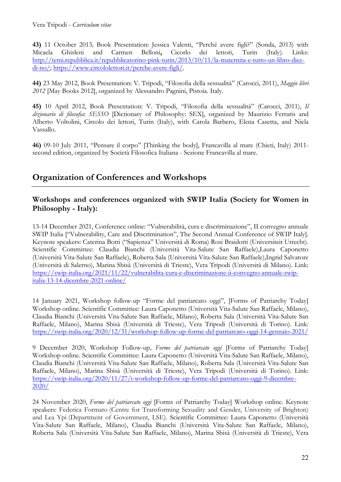**43)** 11 October 2013*,* Book Presentation: Jessica Valenti, "Perché avere figli?" (Sonda, 2013) with Micaela Ghisleni and Carmen Belloni**,** Cicorlo dei lettori, Turin (Italy). Links: http://temi.repubblica.it/repubblicatorino-pink-turin/2013/10/11/la-maternita-e-tutto-un-libro-dicedi-no/; https://www.circololettori.it/perche-avere-figli/.

**44)** 23 May 2012, Book Presentation: V. Tripodi, "Filosofia della sessualità" (Carocci, 2011), *Maggio libri 2012* [May Books 2012], organized by Alessandro Pagnini, Pistoia. Italy.

**45)** 10 April 2012, Book Presentation: V. Tripodi, "Filosofia della sessualità" (Carocci, 2011), *Il dizionario di filosofia*: *SESSO* [Dictionary of Philosophy: SEX], organized by Maurizio Ferraris and Alberto Voltolini, Circolo dei lettori, Turin (Italy), with Carola Barbero, Elena Casetta, and Nicla Vassallo.

**46)** 09-10 July 2011, "Pensare il corpo" [Thinking the body], Francavilla al mare (Chieti, Italy) 2011 second edition, organized by Società Filosofica Italiana - Sezione Francavilla al mare.

# **Organization of Conferences and Workshops**

### **Workshops and conferences organized with SWIP Italia (Society for Women in Philosophy - Italy):**

13-14 December 2021, Conference online: "Vulnerabilità, cura e discriminazione", II convegno annuale SWIP Italia ["Vulnerability, Care and Discrimination", The Second Annual Conference of SWIP Italy]. Keynote speakers: Caterina Botti ("Sapienza" Università di Roma) Rosi Braidotti (Universiteit Utrecht). Scientific Committee: Claudia Bianchi (Università Vita-Salute San Raffaele),Laura Caponetto (Università Vita-Salute San Raffaele), Roberta Sala (Università Vita-Salute San Raffaele),Ingrid Salvatore (Università di Salerno), Marina Sbisà (Università di Trieste), Vera Tripodi (Università di Milano). Link: https://swip-italia.org/2021/11/22/vulnerabilita-cura-e-discriminazione-ii-convegno-annuale-swipitalia-13-14-dicembre-2021-online/

14 January 2021, Workshop follow-up "Forme del patriarcato oggi", [Forms of Patriarchy Today] Workshop online. Scientific Committee: Laura Caponetto (Università Vita-Salute San Raffaele, Milano), Claudia Bianchi (Università Vita-Salute San Raffaele, Milano), Roberta Sala (Università Vita-Salute San Raffaele, Milano), Marina Sbisà (Università di Trieste), Vera Tripodi (Università di Torino). Link: https://swip-italia.org/2020/12/31/workshop-follow-up-forme-del-patriarcato-oggi-14-gennaio-2021/

9 December 2020, Workshop Follow-up, *Forme del patriarcato oggi* [Forms of Patriarchy Today] Workshop online. Scientific Committee: Laura Caponetto (Università Vita-Salute San Raffaele, Milano), Claudia Bianchi (Università Vita-Salute San Raffaele, Milano), Roberta Sala (Università Vita-Salute San Raffaele, Milano), Marina Sbisà (Università di Trieste), Vera Tripodi (Università di Torino). Link: https://swip-italia.org/2020/11/27/i-workshop-follow-up-forme-del-patriarcato-oggi-9-dicembre-2020/

24 November 2020, *Forme del patriarcato oggi* [Forms of Patriarchy Today] Workshop online. Keynote speakers: Federica Formato (Centre for Transforming Sexuality and Gender, University of Brighton) and Lea Ypi (Department of Government, LSE). Scientific Committee: Laura Caponetto (Università Vita-Salute San Raffaele, Milano), Claudia Bianchi (Università Vita-Salute San Raffaele, Milano), Roberta Sala (Università Vita-Salute San Raffaele, Milano), Marina Sbisà (Università di Trieste), Vera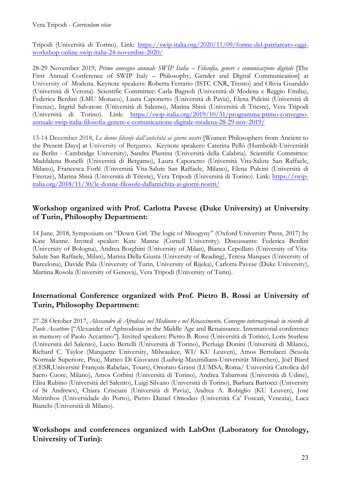Tripodi (Università di Torino). Link: https://swip-italia.org/2020/11/09/forme-del-patriarcato-oggiworkshop-online-swip-italia-24-novembre-2020/

28-29 November 2019, *Primo convegno annuale SWIP Italia* – *Filosofia, genere e comunicazione digitale* [The First Annual Conference of SWIP Italy – Philosophy, Gender and Digital Communication] at University of Modena. Keynote speakers: Roberta Ferrario (ISTC CNR, Trento) and Olivia Guaraldo (Università di Verona). Scientific Committee: Carla Bagnoli (Università di Modena e Reggio Emilia), Federica Berdini (LMU Monaco), Laura Caponetto (Università di Pavia), Elena Pulcini (Università di Firenze), Ingrid Salvatore (Università di Salerno), Marina Sbisà (Università di Trieste), Vera Tripodi (Università di Torino). Link: https://swip-italia.org/2019/10/31/programma-primo-convegnoannuale-swip-italia-filosofia-genere-e-comunicazione-digitale-modena-28-29-nov-2019/

13-14 December 2018, *Le donne filosofe dall'antichità ai giorni nostri* [Women Philosophers from Ancient to the Present Days] at University of Bergamo. Keynote speakers: Caterina Pellò (Humboldt-Universität zu Berlin - Cambridge University), Sandra Plastina (Università della Calabria). Scientific Committee: Maddalena Bonelli (Università di Bergamo), Laura Caponetto (Università Vita-Salute San Raffaele, Milano), Francesca Forlè (Università Vita-Salute San Raffaele, Milano), Elena Pulcini (Università di Firenze), Marina Sbisà (Università di Trieste), Vera Tripodi (Università di Torino). Link: https://swipitalia.org/2018/11/30/le-donne-filosofe-dallantichita-ai-giorni-nostri/

## **Workshop organized with Prof. Carlotta Pavese (Duke University) at University of Turin, Philosophy Department:**

14 June, 2018, Symposium on "Down Girl. The logic of Misogyny" (Oxford University Press, 2017) by Kate Manne. Invited speaker: Kate Manne (Cornell University). Discussants: Federica Berdini (University of Bologna), Andrea Borghini (University of Milan), Bianca Cepollaro (University of Vita-Salute San Raffaele, Milan), Marina Della Giusta (University of Reading), Teresa Marques (University of Barcelona), Davide Pala (University of Turin, University of Rijeka), Carlotta Pavese (Duke University), Martina Rosola (University of Genova), Vera Tripodi (University of Turin).

## **International Conference organized with Prof. Pietro B. Rossi at University of Turin, Philosophy Department:**

27-28 October 2017, *Alessandro di Afrodisia nel Medioevo e nel Rinascimento. Convegno internazionale in ricordo di Paolo Accattino* ["Alexander of Aphrodisias in the Middle Age and Renaissance. International conference in memory of Paolo Accattino"]. Invited speakers: Pietro B. Rossi (Università di Torino), Loris Sturlese (Università del Salento), Lucio Bertelli (Università di Torino), Pierluigi Donini (Università di Milano), Richard C. Taylor (Marquette University, Milwaukee, WI/ KU Leuven), Amos Bertolacci (Scuola Normale Superiore, Pisa), Matteo Di Giovanni (Ludwig-Maximilians-Universität München), Joël Biard (CESR,Université François-Rabelais, Tours), Onorato Grassi (LUMSA, Roma/ Università Cattolica del Sacro Cuore, Milano), Amos Corbini (Università di Torino), Andrea Tabarroni (Università di Udine), Elisa Rubino (Università del Salento), Luigi Silvano (Università di Torino), Barbara Bartocci (University of St Andrews), Chiara Crisciani (Università di Pavia), Andrea A. Robiglio (KU Leuven), José Meirinhos (Universidade do Porto), Pietro Daniel Omodeo (Università Ca' Foscari, Venezia), Luca Bianchi (Università di Milano).

## **Workshops and conferences organized with LabOnt (Laboratory for Ontology, University of Turin):**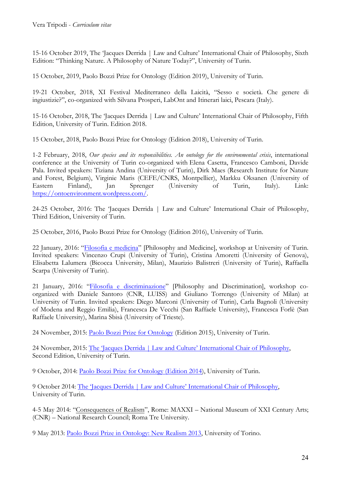15-16 October 2019, The 'Jacques Derrida | Law and Culture' International Chair of Philosophy, Sixth Edition: "Thinking Nature. A Philosophy of Nature Today?", University of Turin.

15 October, 2019, Paolo Bozzi Prize for Ontology (Edition 2019), University of Turin.

19-21 October, 2018, XI Festival Mediterraneo della Laicità, "Sesso e società. Che genere di ingiustizie?", co-organized with Silvana Prosperi, LabOnt and Itinerari laici, Pescara (Italy).

15-16 October, 2018, The 'Jacques Derrida | Law and Culture' International Chair of Philosophy, Fifth Edition, University of Turin. Edition 2018.

15 October, 2018, Paolo Bozzi Prize for Ontology (Edition 2018), University of Turin.

1-2 February, 2018, *Our species and its responsibilities. An ontology for the environmental crisis*, international conference at the University of Turin co-organized with Elena Casetta, Francesco Camboni, Davide Pala. Invited speakers: Tiziana Andina (University of Turin), Dirk Maes (Research Institute for Nature and Forest, Belgium), Virginie Maris (CEFE/CNRS, Montpellier), Markku Oksanen (University of Eastern Finland), Jan Sprenger (University of Turin, Italy). Link: https://ontoenvironment.wordpress.com/.

24-25 October, 2016: The 'Jacques Derrida | Law and Culture' International Chair of Philosophy, Third Edition, University of Turin.

25 October, 2016, Paolo Bozzi Prize for Ontology (Edition 2016), University of Turin.

22 January, 2016: "Filosofia e medicina" [Philosophy and Medicine], workshop at University of Turin. Invited speakers: Vincenzo Crupi (University of Turin), Cristina Amoretti (University of Genova), Elisabetta Lalumera (Bicocca University, Milan), Maurizio Balistreri (University of Turin), Raffaella Scarpa (University of Turin).

21 January, 2016: "Filosofia e discriminazione" [Philosophy and Discrimination], workshop coorganized with Daniele Santoro (CNR, LUISS) and Giuliano Torrengo (University of Milan) at University of Turin. Invited speakers: Diego Marconi (University of Turin), Carla Bagnoli (University of Modena and Reggio Emilia), Francesca De Vecchi (San Raffaele University), Francesca Forlè (San Raffaele University), Marina Sbisà (University of Trieste).

24 November, 2015: Paolo Bozzi Prize for Ontology (Edition 2015), University of Turin.

24 November, 2015: The 'Jacques Derrida | Law and Culture' International Chair of Philosophy, Second Edition, University of Turin.

9 October, 2014: Paolo Bozzi Prize for Ontology (Edition 2014), University of Turin.

9 October 2014: The 'Jacques Derrida | Law and Culture' International Chair of Philosophy, University of Turin.

4-5 May 2014: "Consequences of Realism", Rome: MAXXI – National Museum of XXI Century Arts; (CNR) – National Research Council; Roma Tre University.

9 May 2013: Paolo Bozzi Prize in Ontology: New Realism 2013, University of Torino.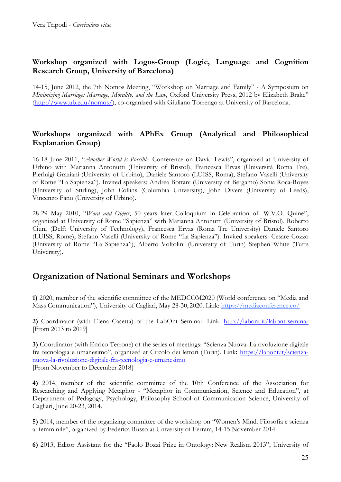## **Workshop organized with Logos-Group (Logic, Language and Cognition Research Group, University of Barcelona)**

14-15, June 2012, the 7th Nomos Meeting, "Workshop on Marriage and Family" - A Symposium on *Minimizing Marriage: Marriage, Morality, and the Law*, Oxford University Press, 2012 by Elizabeth Brake" (http://www.ub.edu/nomos/), co-organized with Giuliano Torrengo at University of Barcelona.

## **Workshops organized with APhEx Group (Analytical and Philosophical Explanation Group)**

16-18 June 2011, "*Another World is Possible*. Conference on David Lewis", organized at University of Urbino with Marianna Antonutti (University of Bristol), Francesca Ervas (Università Roma Tre), Pierluigi Graziani (University of Urbino), Daniele Santoro (LUISS, Roma), Stefano Vaselli (University of Rome "La Sapienza"). Invited speakers: Andrea Bottani (University of Bergamo) Sonia Roca-Royes (University of Stirling), John Collins (Columbia University), John Divers (University of Leeds), Vincenzo Fano (University of Urbino).

28-29 May 2010, "*Word and Object*, 50 years later. Colloquium in Celebration of W.V.O. Quine", organized at University of Rome "Sapienza" with Marianna Antonutti (University of Bristol), Roberto Ciuni (Delft University of Technology), Francesca Ervas (Roma Tre University) Daniele Santoro (LUISS, Rome), Stefano Vaselli (University of Rome "La Sapienza"). Invited speakers: Cesare Cozzo (University of Rome "La Sapienza"), Alberto Voltolini (University of Turin) Stephen White (Tufts University).

## **Organization of National Seminars and Workshops**

**1)** 2020, member of the scientific committee of the MEDCOM2020 (World conference on "Media and Mass Communication"), University of Cagliari, May 28-30, 2020. Link: https://mediaconference.co/

**2)** Coordinator (with Elena Casetta) of the LabOnt Seminar. Link: http://labont.it/labont-seminar [From 2013 to 2019]

**3)** Coordinator (with Enrico Terrone) of the series of meetings: "Scienza Nuova. La rivoluzione digitale fra tecnologia e umanesimo", organized at Circolo dei lettori (Turin). Link**:** https://labont.it/scienzanuova-la-rivoluzione-digitale-fra-tecnologia-e-umanesimo [From November to December 2018]

**4)** 2014, member of the scientific committee of the 10th Conference of the Association for Researching and Applying Metaphor - "Metaphor in Communication, Science and Education", at Department of Pedagogy, Psychology, Philosophy School of Communication Science, University of Cagliari, June 20-23, 2014.

**5)** 2014, member of the organizing committee of the workshop on "Women's Mind. Filosofia e scienza al femminile", organized by Federica Russo at University of Ferrara, 14-15 November 2014.

**6)** 2013, Editor Assistant for the "Paolo Bozzi Prize in Ontology: New Realism 2013", University of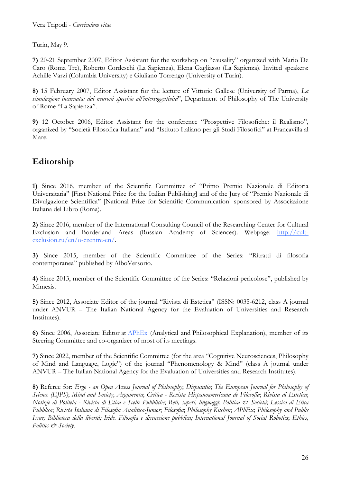Turin, May 9.

**7)** 20-21 September 2007, Editor Assistant for the workshop on "causality" organized with Mario De Caro (Roma Tre), Roberto Cordeschi (La Sapienza), Elena Gagliasso (La Sapienza). Invited speakers: Achille Varzi (Columbia University) e Giuliano Torrengo (University of Turin).

**8)** 15 February 2007, Editor Assistant for the lecture of Vittorio Gallese (University of Parma), *La simulazione incarnata: dai neuroni specchio all'intersoggettività*", Department of Philosophy of The University of Rome "La Sapienza".

**9)** 12 October 2006, Editor Assistant for the conference "Prospettive Filosofiche: il Realismo", organized by "Società Filosofica Italiana" and "Istituto Italiano per gli Studi Filosofici" at Francavilla al Mare.

# **Editorship**

**1)** Since 2016, member of the Scientific Committee of "Primo Premio Nazionale di Editoria Universitaria" [First National Prize for the Italian Publishing] and of the Jury of "Premio Nazionale di Divulgazione Scientifica" [National Prize for Scientific Communication] sponsored by Associazione Italiana del Libro (Roma).

**2)** Since 2016, member of the International Consulting Council of the Researching Center for Cultural Exclusion and Borderland Areas (Russian Academy of Sciences). Webpage: http://cultexclusion.ru/en/o-czentre-en/.

**3)** Since 2015, member of the Scientific Committee of the Series: "Ritratti di filosofia contemporanea" published by AlboVersorio.

**4)** Since 2013, member of the Scientific Committee of the Series: "Relazioni pericolose", published by Mimesis.

**5)** Since 2012, Associate Editor of the journal "Rivista di Estetica" (ISSN: 0035-6212, class A journal under ANVUR – The Italian National Agency for the Evaluation of Universities and Research Institutes).

**6)** Since 2006, Associate Editor at APhEx (Analytical and Philosophical Explanation), member of its Steering Committee and co-organizer of most of its meetings.

**7)** Since 2022, member of the Scientific Committee (for the area "Cognitive Neurosciences, Philosophy of Mind and Language, Logic") of the journal "Phenomenology & Mind" (class A journal under ANVUR – The Italian National Agency for the Evaluation of Universities and Research Institutes).

**8)** Referee for: *Ergo - an Open Access Journal of Philosophy*; *Disputatio*; *The European Journal for Philosophy of Science (EJPS)*; *Mind and Society*; *Argumenta*; *Crítica - Revista Hispanoamericana de Filosofía*; *Rivista di Estetica*; *Notizie di Politeia - Rivista di Etica e Scelte Pubbliche*; *Reti, saperi, linguaggi*; *Politica & Società*; *Lessico di Etica Pubblica*; *Rivista Italiana di Filosofia Analitica-Junior*; *Filosofia*; *Philosophy Kitchen*; *APhEx*; *Philosophy and Public Issue; Biblioteca della libertà; Iride. Filosofia e discussione pubblica; International Journal of Social Robotics*; *Ethics, Politics & Society.*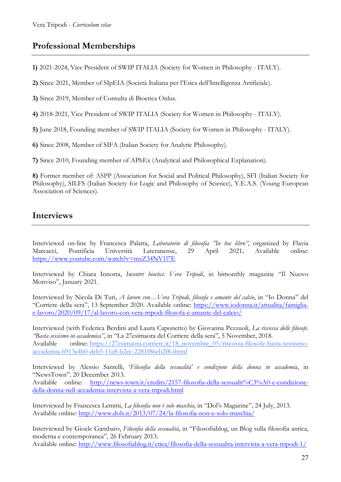# **Professional Memberships**

**1)** 2021-2024, Vice President of SWIP ITALIA (Society for Women in Philosophy - ITALY).

**2)** Since 2021, Member of SIpEIA (Società Italiana per l'Etica dell'Intelligenza Artificiale).

**3)** Since 2019, Member of Consulta di Bioetica Onlus.

**4)** 2018-2021, Vice President of SWIP ITALIA (Society for Women in Philosophy - ITALY).

**5)** June 2018, Founding member of SWIP ITALIA (Society for Women in Philosophy - ITALY).

**6)** Since 2008, Member of SIFA (Italian Society for Analytic Philosophy).

**7)** Since 2010, Founding member of APhEx (Analytical and Philosophical Explanation).

**8)** Former member of: ASPP (Association for Social and Political Philosophy), SFI (Italian Society for Philosophy), SILFS (Italian Society for Logic and Philosophy of Science), Y.E.A.S. (Young European Association of Sciences).

# **Interviews**

Interviewed on-line by Francesca Palatta, *Laboratorio di filosofia "In hoc libro"*, organized by Flavia Marcacci, Pontificia Università Lateranense, 29 April 2021**.** Available online: https://www.youtube.com/watch?v=mzZ34NV1l7E

Interviewed by Chiara Innorta, *Incontri bioetici: Vera Tripodi*, in bimonthly magazine "Il Nuovo Monviso", January 2021.

Interviewed by Nicola Di Turi, *A lavoro con…Vera Tripodi, filosofa e amante del calcio*, in "Io Donna" del "Corriere della sera", 13 September 2020. Available online: https://www.iodonna.it/attualita/famigliae-lavoro/2020/09/17/al-lavoro-con-vera-tripodi-filosofa-e-amante-del-calcio/

Interviewed (with Federica Berdini and Laura Caponetto) by Giovanna Pezzuoli, *La riscossa delle filosofe. "Basta sessismo in accademica"*, in "La 27esimaora del Corriere della sera", 5 November, 2018. Available online: https://27esimaora.corriere.it/18\_novembre\_05/riscossa-filosofe-basta-sessismoaccademia-6913a4b0-deb5-11e8-b2ec-2281f86eb2f8.shtml

Interviewed by Alessio Santelli, '*Filosofia della sessualità' e condizione della donna in accademia*, in "NewsTown"*,* 20 December 2013*.*

Available online: http://news-town.it/credits/2157-filosofia-della-sessualit%C3%A0-e-condizionedella-donna-nell-accademia-intervista-a-vera-tripodi.html

Interviewed by Francesca Lemmi, *La filosofia non è solo maschia*, in "Dol's Magazine", 24 July, 2013. Available online: http://www.dols.it/2013/07/24/la-filosofia-non-e-solo-maschia/

Interviewed by Gioele Gambaro, *Filosofia della sessualità*, in "Filosofiablog, un Blog sulla filosofia antica, moderna e contemporanea", 26 February 2013. Available online: http://www.filosofiablog.it/etica/filosofia-della-sessualita-intervista-a-vera-tripodi-1/